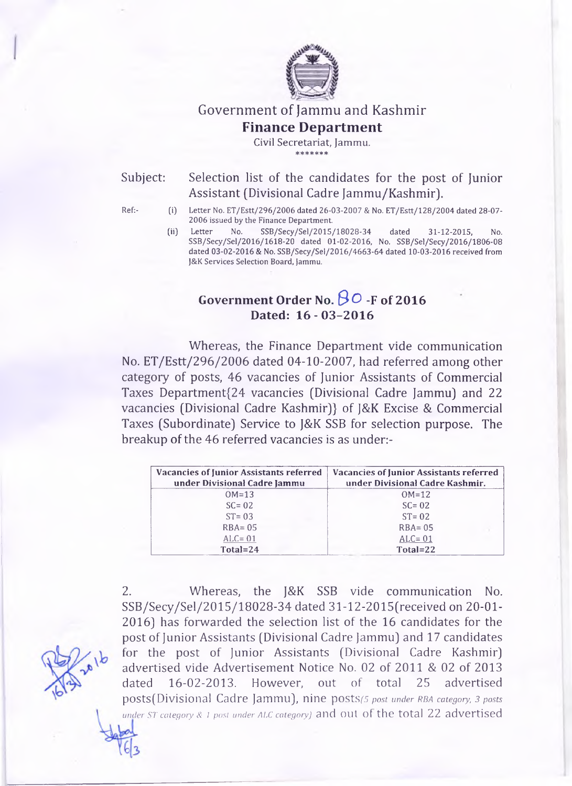

Government of Jammu and Kashmir

### **Finance Department**

**Civil Secretariat, Jammu.** \* \* \* \* \* \* \*

Subject: Selection list of the candidates for the post of Junior Assistant (Divisional Cadre Jammu/Kashmir).

- Ref:- (i) Letter No. ET/Estt/296/2006 dated 26-03-2007 & No. ET/Estt/128/2004 dated 28-07 2006 issued by the Finance Department.
	- (ii) Letter No. SSB/Secy/Sel/2015/18028-34 dated 31-12-2015, No. SSB/Secy/Sel/2016/1618-20 dated 01-02-2016, No. SSB/Sel/Secy/2016/1806-08 dated 03-02-2016 & No. SSB/Secy/Sel/2016/4663-64 dated 10-03-2016 received from J&K Services Selection Board, ]ammu.

# **Government Order No.** *& O* **-F of 2016** Dated: 16 - 03-2016

Whereas, the Finance Department vide communication No. ET/Estt/296/2006 dated 04-10-2007, had referred among other category of posts, 46 vacancies of Junior Assistants of Commercial Taxes Department{24 vacancies (Divisional Cadre Jammu) and 22 vacancies (Divisional Cadre Kashmir)} of J&K Excise & Commercial Taxes (Subordinate) Service to J&K SSB for selection purpose. The breakup of the 46 referred vacancies is as under:-

| <b>Vacancies of Junior Assistants referred</b> | <b>Vacancies of Junior Assistants referred</b> |  |  |
|------------------------------------------------|------------------------------------------------|--|--|
| under Divisional Cadre Jammu                   | under Divisional Cadre Kashmir.                |  |  |
| $OM=13$                                        | $OM=12$                                        |  |  |
| $SC = 02$                                      | $SC = 02$                                      |  |  |
| $ST = 0.3$                                     | $ST = 02$                                      |  |  |
| $RBA = 05$                                     | $RBA = 05$                                     |  |  |
| $ALC = 01$                                     | $ALC = 01$                                     |  |  |
| $Total = 24$                                   | Total=22                                       |  |  |

2. Whereas, the J&K SSB vide communication No. SSB/Secy/Sel/2015/18028-34 dated 31-12-2015(received on 20-01 2016) has forwarded the selection list of the 16 candidates for the post of Junior Assistants (Divisional Cadre Jammu) and 17 candidates for the post of Junior Assistants (Divisional Cadre Kashmir) advertised vide Advertisement Notice No. 02 of 2011 & 02 of 2013 dated 16-02-2013. However, out of total 25 advertised posts(Divisional Cadre Jammu), nine posts*(5 post under rba category, 3 posts under ST category & <sup>1</sup>post under ALC category)* and Ollt of the total 22 advertised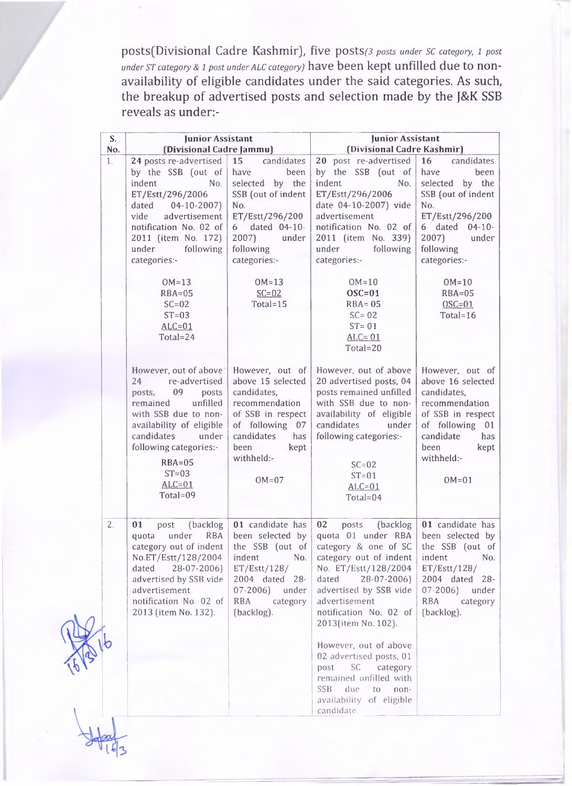posts(Divisional Cadre Kashmir), five posts(3 posts under SC category, 1 post *under st category & i post under alc category)* have been kept unfilled due to nonavailability of eligible candidates under the said categories. As such, the breakup of advertised posts and selection made by the J&K SSB reveals as under:-

| S.<br>No. | Junior Assistant<br>(Divisional Cadre Jammu)                                                                                                                                                                                                                                                         |                                                                                                                                                                                                       | <b>Junior Assistant</b><br>(Divisional Cadre Kashmir)                                                                                                                                                                                                                                                                                                                                                                                             |                                                                                                                                                                                                                     |  |
|-----------|------------------------------------------------------------------------------------------------------------------------------------------------------------------------------------------------------------------------------------------------------------------------------------------------------|-------------------------------------------------------------------------------------------------------------------------------------------------------------------------------------------------------|---------------------------------------------------------------------------------------------------------------------------------------------------------------------------------------------------------------------------------------------------------------------------------------------------------------------------------------------------------------------------------------------------------------------------------------------------|---------------------------------------------------------------------------------------------------------------------------------------------------------------------------------------------------------------------|--|
| 1.        | 24 posts re-advertised<br>by the SSB (out of $\vert$<br>indent<br>No.<br>ET/Estt/296/2006<br>dated<br>$04-10-2007$<br>advertisement<br>vide<br>notification No. 02 of<br>2011 (item No. 172)<br>under following<br>categories:-<br>$OM=13$<br>$RBA=05$<br>$SC=02$<br>$ST=03$<br>$ALC=01$<br>Total=24 | candidates<br>15<br>have<br>been<br>selected by the<br>SSB (out of indent<br>No.<br>ET/Estt/296/200<br>6 dated 04-10-<br>2007<br>under<br>following<br>categories:-<br>$OM=13$<br>$SC=02$<br>Total=15 | 20 post re-advertised<br>by the SSB (out of<br>indent<br>No.<br>ET/Estt/296/2006<br>date 04-10-2007) vide<br>advertisement<br>notification No. 02 of<br>2011 (item No. 339)<br>under<br>following<br>categories:-<br>$OM=10$<br>$OSC=01$<br>$RBA = 05$<br>$SC = 02$<br>$ST = 01$<br>$ALC = 01$<br>Total=20                                                                                                                                        | candidates<br>16<br>have<br>been<br>selected by the<br>SSB (out of indent<br>No.<br>ET/Estt/296/200<br>6 dated 04-10-<br>2007)<br>under<br>following<br>categories:-<br>$OM=10$<br>$RBA=05$<br>$OSC=01$<br>Total=16 |  |
|           | However, out of above<br>re-advertised<br>24<br>09<br>posts<br>posts.<br>unfilled<br>remained<br>with SSB due to non-<br>availability of eligible<br>candidates<br>under<br>following categories:-<br>$RBA=05$<br>$ST=03$<br>$ALC=01$<br>Total=09                                                    | However, out of<br>above 15 selected<br>candidates,<br>recommendation<br>of SSB in respect<br>of following 07<br>candidates<br>has<br>been<br>kept<br>withheld:-<br>$OM=07$                           | However, out of above<br>20 advertised posts, 04<br>posts remained unfilled<br>with SSB due to non-<br>availability of eligible<br>candidates<br>under<br>following categories:-<br>$SC = 02$<br>$ST=01$<br>$ALC=01$<br>Total= $04$                                                                                                                                                                                                               | However, out of<br>above 16 selected<br>candidates,<br>recommendation<br>of SSB in respect<br>of following 01<br>candidate<br>has<br>been<br>kept<br>withheld:-<br>$OM=01$                                          |  |
| 2.        | (backlog<br>01<br>post<br>under<br><b>RBA</b><br>quota<br>No.ET/Estt/128/2004<br>dated 28-07-2006)<br>advertised by SSB vide<br>advertisement<br>notification No. 02 of<br>2013 (item No. 132).                                                                                                      | 01 candidate has<br>been selected by<br>indent<br>No.<br>ET/Est/128/<br>2004 dated 28-<br>$07 - 2006$<br>under<br><b>RBA</b><br>category<br>(backlog).                                                | 02<br>(backlog<br>posts<br>quota 01 under RBA been selected by<br>category out of indent   the SSB (out of   category & one of SC   the SSB (out of<br>category out of indent<br>No. ET/Estt/128/2004<br>dated 28-07-2006)<br>advertised by SSB vide<br>advertisement<br>notification No. 02 of<br>2013(item No. 102).<br>However, out of above<br>02 advertised posts, 01<br>SC category<br>post<br>remained unfilled with<br>SSB due to<br>non- | 01 candidate has<br>indent<br>No.<br>ET/Estt/128/<br>2004 dated 28-<br>$07 - 2006$<br>under<br><b>RBA</b><br>category<br>(backlog).                                                                                 |  |
|           |                                                                                                                                                                                                                                                                                                      |                                                                                                                                                                                                       | availability of eligible<br>candidate.                                                                                                                                                                                                                                                                                                                                                                                                            |                                                                                                                                                                                                                     |  |

*d r*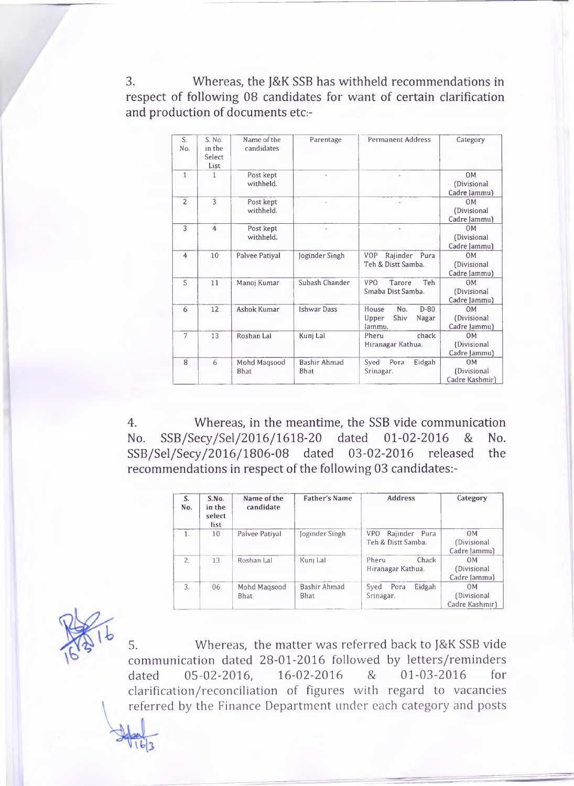3. Whereas, the J&K SSB has withheld recommendations in respect of following 08 candidates for want of certain clarification and production of documents etc:-

| S.<br>No.      | S. No.<br>in the<br>Select<br>List | Name of the<br>candidates   | Parentage                          | <b>Permanent Address</b>                                   | Category                                      |
|----------------|------------------------------------|-----------------------------|------------------------------------|------------------------------------------------------------|-----------------------------------------------|
| $\mathbf{1}$   | 1                                  | Post kept<br>withheld.      | ٠                                  | $\scriptstyle\rm{m}$                                       | 0 <sub>M</sub><br>(Divisional<br>Cadre Jammu) |
| $\overline{2}$ | 3                                  | Post kept<br>withheld.      | ÷                                  | $\sim$                                                     | OM<br>(Divisional<br>Cadre Jammu)             |
| 3              | $\overline{4}$                     | Post kept<br>withheld.      | $\sim$                             | $\sim$                                                     | 0 <sub>M</sub><br>(Divisional<br>Cadre Jammu) |
| $\overline{4}$ | 10                                 | Palvee Patiyal              | Joginder Singh                     | Rajinder<br><b>VOP</b><br>Pura<br>Teh & Distt Samba.       | OM<br>(Divisional<br>Cadre Jammu)             |
| 5              | 11                                 | Manoj Kumar                 | Subash Chander                     | <b>VPO</b><br>Teh<br>Tarore<br>Smaba Dist Samba.           | OM<br>(Divisional<br>Cadre Jammu)             |
| 6              | 12                                 | <b>Ashok Kumar</b>          | <b>Ishwar Dass</b>                 | No.<br>$D-80$<br>House<br>Shiv<br>Upper<br>Nagar<br>Jammu. | OM<br>(Divisional<br>Cadre Jammu)             |
| 7              | 13                                 | Roshan Lal                  | Kunj Lal                           | chack<br>Pheru<br>Hiranagar Kathua.                        | <b>OM</b><br>(Divisional<br>Cadre [ammu]      |
| 8              | 6                                  | Mohd Magsood<br><b>Bhat</b> | <b>Bashir Ahmad</b><br><b>Bhat</b> | Eidgah<br>Syed<br>Pora<br>Srinagar.                        | 0M<br>(Divisional<br>Cadre Kashmir)           |

4. Whereas, in the meantime, the SSB vide communication No. SSB/Secy/Sel/2016/1618-20 dated 01-02-2016 & No. SSB/Sel/Secy/2016/1806-08 dated 03-02-2016 released the recommendations in respect of the following 03 candidates:-

| S.<br>No. | S.No.<br>in the<br>select<br>list | Name of the<br>candidate    | <b>Father's Name</b>        | <b>Address</b>                                    | Category                                      |
|-----------|-----------------------------------|-----------------------------|-----------------------------|---------------------------------------------------|-----------------------------------------------|
|           | 10                                | Palvee Patiyal              | loginder Singh              | Rajinder Pura<br><b>VPO</b><br>Teh & Distt Samba. | 0 <sub>M</sub><br>(Divisional<br>Cadre Jammu) |
| 2.5       | 13                                | Roshan Lal                  | Kunj Lal                    | Chack<br>Pheru<br>Hiranagar Kathua.               | 0 <sub>M</sub><br>(Divisional<br>Cadre [ammu] |
| 3.        | 06                                | Mohd Magsood<br><b>Bhat</b> | Bashir Ahmad<br><b>Bhat</b> | Eidgah<br>Pora<br>Sved<br>Srinagar.               | OM<br>(Divisional<br>Cadre Kashmir)           |

5. Whereas, the matter was referred back to j&K SSB vide communication dated 28-01-2016 followed by letters/reminders dated 05-02-2016, 16-02-2016 & 01-03-2016 for clarification/reconciliation of figures with regard to vacancies referred by the Finance Department under each category and posts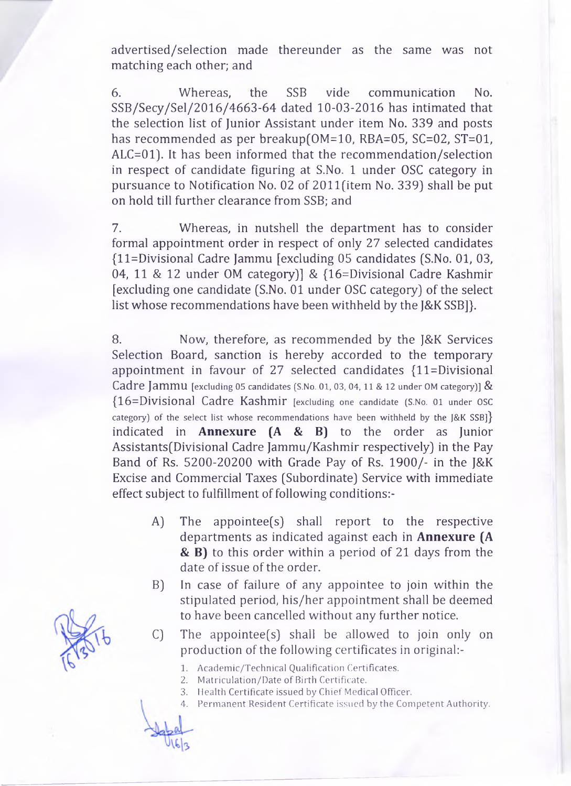advertised/selection made thereunder as the same was not matching each other; and

6. Whereas, the SSB vide communication No. SSB/Secy/Sel/2016/4663-64 dated 10-03-2016 has intimated that the selection list of Junior Assistant under item No. 339 and posts has recommended as per breakup(OM=10, RBA=05, SC=02, ST=01, ALC=01). It has been informed that the recommendation/selection in respect of candidate figuring at S.No. 1 under OSC category in pursuance to Notification No. 02 of 2011(item No. 339) shall be put on hold till further clearance from SSB; and

7. Whereas, in nutshell the department has to consider formal appointment order in respect of only 27 selected candidates (ll=Divisional Cadre Jammu [excluding 05 candidates (S.No. 01, 03, 04, 11 & 12 under OM category)] & (16=Divisional Cadre Kashmir [excluding one candidate (S.No. 01 under OSC category) of the select list whose recommendations have been withheld by the J&K SSB]}.

8. Now, therefore, as recommended by the J&K Services Selection Board, sanction is hereby accorded to the temporary appointment in favour of 27 selected candidates  ${11}$ =Divisional Cadre Jammu [excluding 05 candidates (S.No. 01, 03, 04, 11 & 12 under OM category)]  $\&$ (16=Divisional Cadre Kashmir [excluding one candidate (S.No. 01 under OSC category) of the select list whose recommendations have been withheld by the  $[&K SSB]$ indicated in **Annexure (A & B)** to the order as Junior Assistants(Divisional Cadre Jammu/Kashmir respectively) in the Pay Band of Rs. 5200-20200 with Grade Pay of Rs. 1900/- in the J&K Excise and Commercial Taxes (Subordinate) Service with immediate effect subject to fulfillment of following conditions:-

- A) The appointee(s) shall report to the respective departments as indicated against each in **Annexure (A & B)** to this order within a period of 21 days from the date of issue of the order.
- B) In case of failure of any appointee to join within the stipulated period, his/her appointment shall be deemed to have been cancelled without any further notice.
- C) The appointee(s) shall be allowed to join only on production of the following certificates in original:-
	- 1. Academic/Technical Qualification Certificates.
	- 2. Matriculation/Date of Birth Certificate.
	- 3. Health Certificate issued by Chief Medical Officer.
	- 4. Permanent Resident Certificate **issued** by the Competent Authority.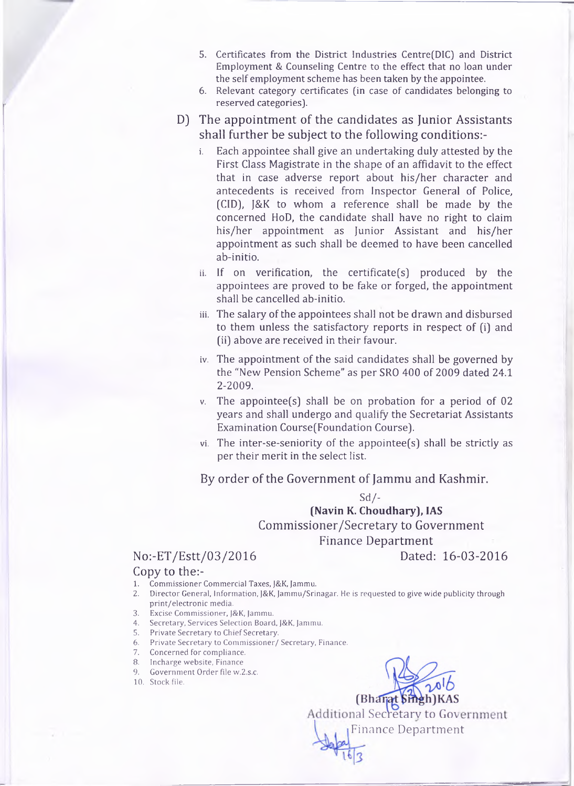- **5. Certificates from the District Industries Centre(DIC) and District Employment & Counseling Centre to the effect that no loan under the self employment scheme has been taken by the appointee.**
- **6. Relevant category certificates (in case of candidates belonging to reserved categories).**
- D) The appointment of the candidates as Junior Assistants shall further be subject to the following conditions:
	- **i. Each appointee shall give an undertaking duly attested by the First Class Magistrate in the shape of an affidavit to the effect that in case adverse report about his/her character and antecedents is received from Inspector General of Police, (C1D), J&K to whom a reference shall be made by the concerned HoD, the candidate shall have no right to claim his/her appointment as Junior Assistant and his/her appointment as such shall be deemed to have been cancelled ab-initio.**
	- **ii. If on verification, the certificate(s) produced by the appointees are proved to be fake or forged, the appointment shall be cancelled ab-initio.**
	- **iii. The salary of the appointees shall not be drawn and disbursed to them unless the satisfactory reports in respect of (i) and (ii) above are received in their favour.**
	- **iv. The appointment of the said candidates shall be governed by the "New Pension Scheme" as per SRO 400 of 2009 dated 24.1 2-2009.**
	- **v. The appointee(s) shall be on probation for a period of 02 years and shall undergo and qualify the Secretariat Assistants Examination Course(Foundation Course).**
	- **vi. The inter-se-seniority of the appointee(s) shall be strictly as per their merit in the select list.**

By order of the Government of Jammu and Kashmir.

**Sd/- (Navin K. Choudhary), IAS** Commissioner/Secretary to Government

## Finance Department

No:-ET/Estt/03/2016 Dated: 16-03-2016

### Copy to the:-

- 1. Commissioner Commercial Taxes, )&K, Jammu.
- 2. Director General, Information, J&K, Jammu/Srinagar. He is requested to give wide publicity through print/electronic media.
- 3. Excise Commissioner, J&K, Jammu.
- 4. Secretary, Services Selection Board, J&K, Jammu.
- 5. Private Secretary to Chief Secretary.
- 6. Private Secretary to Commissioner/ Secretary, Finance.
- 7. Concerned for compliance.
- 8. Incharge website, Finance
- 9. Government Order file w.2.s.c.
- 10. Stock file.



Additional Secretary to Government Finance Department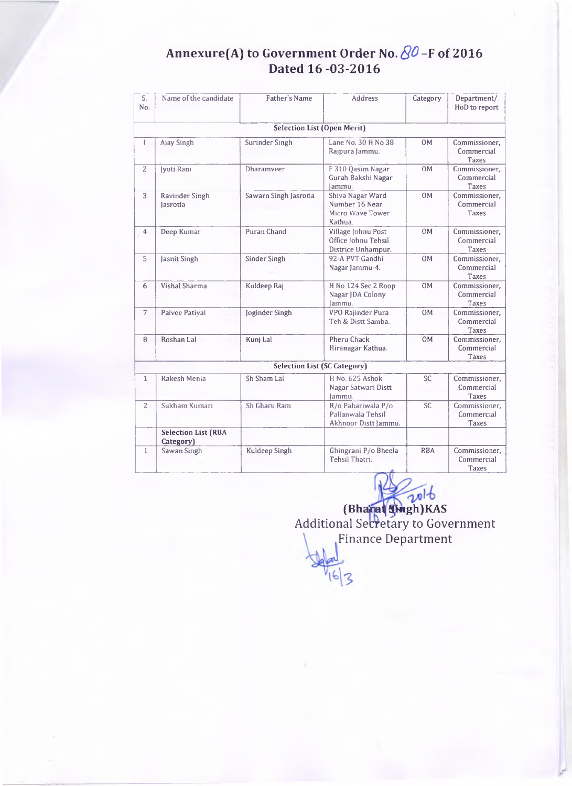## **Annexure(A) to Government Order No.** *QO* **-F of 2016 Dated 16-03-2016**

| S.<br>No.      | Name of the candidate                   | Father's Name                       | <b>Address</b>                                                    | Category   | Department/<br>HoD to report                |
|----------------|-----------------------------------------|-------------------------------------|-------------------------------------------------------------------|------------|---------------------------------------------|
|                |                                         | <b>Selection List (Open Merit)</b>  |                                                                   |            |                                             |
| L              | Ajay Singh                              | Surinder Singh                      | Lane No. 30 H No 38<br>Rajpura Jammu.                             | 0M         | Commissioner.<br>Commercial<br>Taxes        |
| $\overline{2}$ | Iyoti Rani                              | Dharamveer                          | F 310 Qasim Nagar<br>Gurah Bakshi Nagar<br>lammu.                 | 0M         | Commissioner,<br>Commercial<br>Taxes        |
| 3              | Ravinder Singh<br>lasrotia              | Sawarn Singh Jasrotia               | Shiva Nagar Ward<br>Number 16 Near<br>Micro Wave Tower<br>Kathua. | 0M         | Commissioner,<br>Commercial<br><b>Taxes</b> |
| $\overline{4}$ | Deep Kumar                              | Puran Chand                         | Village Johnu Post<br>Office Johnu Tehsil<br>Districe Unhampur.   | 0M         | Commissioner,<br>Commercial<br><b>Taxes</b> |
| $5^{\circ}$    | Jasnit Singh                            | Sinder Singh                        | 92-A PVT Gandhi<br>Nagar Jammu-4.                                 | 0M         | Commissioner.<br>Commercial<br><b>Taxes</b> |
| 6              | Vishal Sharma                           | Kuldeep Raj                         | H No 124 Sec 2 Roop<br>Nagar JDA Colony<br>lammu.                 | <b>OM</b>  | Commissioner.<br>Commercial<br>Taxes        |
| $\overline{7}$ | Palvee Patiyal                          | Joginder Singh                      | VPO Rajinder Pura<br>Teh & Distt Samba.                           | 0M         | Commissioner,<br>Commercial<br>Taxes        |
| 8              | Roshan Lal                              | Kunj Lal                            | <b>Pheru Chack</b><br>Hiranagar Kathua.                           | 0M         | Commissioner.<br>Commercial<br>Taxes        |
|                |                                         | <b>Selection List (SC Category)</b> |                                                                   |            |                                             |
| $\mathbf{1}$   | Rakesh Menia                            | Sh Sham Lal                         | H No. 625 Ashok<br>Nagar Satwari Distt<br>Jammu.                  | <b>SC</b>  | Commissioner,<br>Commercial<br><b>Taxes</b> |
| $\overline{2}$ | Sukham Kumari                           | Sh Gharu Ram                        | R/o Pahariwala P/o<br>Pallanwala Tehsil<br>Akhnoor Distt Jammu.   | <b>SC</b>  | Commissioner.<br>Commercial<br><b>Taxes</b> |
|                | <b>Selection List (RBA</b><br>Category) |                                     |                                                                   |            |                                             |
| $\mathbf{1}$   | Sawan Singh                             | Kuldeep Singh                       | Ghingrani P/o Bheela<br>Tehsil Thatri.                            | <b>RBA</b> | Commissioner,<br>Commercial<br>Taxes        |

**(Bhain^ s[lngh)KAS** Additional Secretary to Government Finance Department